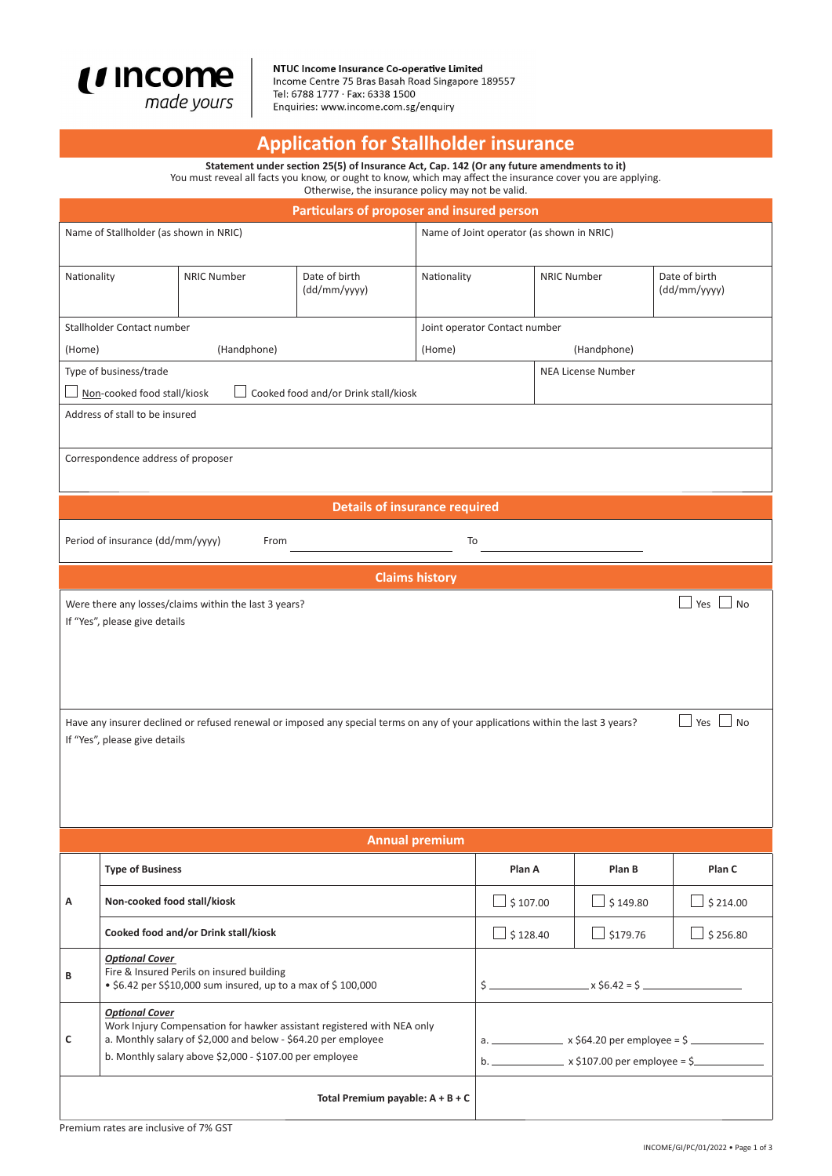

NTUC Income Insurance Co-operative Limited<br>Income Centre 75 Bras Basah Road Singapore 189557 Tel: 6788 1777 · Fax: 6338 1500 Enquiries: www.income.com.sg/enquiry

## **ApplicaƟ on for Stallholder insurance**

**Statement under secƟ on 25(5) of Insurance Act, Cap. 142 (Or any future amendments to it)** You must reveal all facts you know, or ought to know, which may affect the insurance cover you are applying.

Otherwise, the insurance policy may not be valid.

| Particulars of proposer and insured person                                                                                                                                                                                                                                                                       |                                                                                                                                                                                                                             |                                                                                                           |                                    |                       |                                                                                                                                     |                           |                               |  |  |
|------------------------------------------------------------------------------------------------------------------------------------------------------------------------------------------------------------------------------------------------------------------------------------------------------------------|-----------------------------------------------------------------------------------------------------------------------------------------------------------------------------------------------------------------------------|-----------------------------------------------------------------------------------------------------------|------------------------------------|-----------------------|-------------------------------------------------------------------------------------------------------------------------------------|---------------------------|-------------------------------|--|--|
| Name of Stallholder (as shown in NRIC)                                                                                                                                                                                                                                                                           |                                                                                                                                                                                                                             |                                                                                                           |                                    |                       | Name of Joint operator (as shown in NRIC)                                                                                           |                           |                               |  |  |
| Nationality                                                                                                                                                                                                                                                                                                      |                                                                                                                                                                                                                             | <b>NRIC Number</b>                                                                                        | Date of birth<br>(dd/mm/yyyy)      | Nationality           |                                                                                                                                     | <b>NRIC Number</b>        | Date of birth<br>(dd/mm/yyyy) |  |  |
|                                                                                                                                                                                                                                                                                                                  | Stallholder Contact number                                                                                                                                                                                                  |                                                                                                           |                                    |                       | Joint operator Contact number                                                                                                       |                           |                               |  |  |
| (Handphone)<br>(Home)                                                                                                                                                                                                                                                                                            |                                                                                                                                                                                                                             |                                                                                                           |                                    | (Handphone)<br>(Home) |                                                                                                                                     |                           |                               |  |  |
| Type of business/trade                                                                                                                                                                                                                                                                                           |                                                                                                                                                                                                                             |                                                                                                           |                                    |                       |                                                                                                                                     | <b>NEA License Number</b> |                               |  |  |
| Cooked food and/or Drink stall/kiosk<br>Non-cooked food stall/kiosk                                                                                                                                                                                                                                              |                                                                                                                                                                                                                             |                                                                                                           |                                    |                       |                                                                                                                                     |                           |                               |  |  |
| Address of stall to be insured                                                                                                                                                                                                                                                                                   |                                                                                                                                                                                                                             |                                                                                                           |                                    |                       |                                                                                                                                     |                           |                               |  |  |
| Correspondence address of proposer                                                                                                                                                                                                                                                                               |                                                                                                                                                                                                                             |                                                                                                           |                                    |                       |                                                                                                                                     |                           |                               |  |  |
|                                                                                                                                                                                                                                                                                                                  |                                                                                                                                                                                                                             |                                                                                                           |                                    |                       |                                                                                                                                     |                           |                               |  |  |
| <b>Details of insurance required</b>                                                                                                                                                                                                                                                                             |                                                                                                                                                                                                                             |                                                                                                           |                                    |                       |                                                                                                                                     |                           |                               |  |  |
|                                                                                                                                                                                                                                                                                                                  | Period of insurance (dd/mm/yyyy)<br>To<br>From                                                                                                                                                                              |                                                                                                           |                                    |                       |                                                                                                                                     |                           |                               |  |  |
|                                                                                                                                                                                                                                                                                                                  |                                                                                                                                                                                                                             |                                                                                                           |                                    | <b>Claims history</b> |                                                                                                                                     |                           |                               |  |  |
| Were there any losses/claims within the last 3 years?<br>Yes<br><b>No</b><br>If "Yes", please give details<br>Have any insurer declined or refused renewal or imposed any special terms on any of your applications within the last 3 years?<br>$\blacksquare$ Yes<br><b>No</b><br>If "Yes", please give details |                                                                                                                                                                                                                             |                                                                                                           |                                    |                       |                                                                                                                                     |                           |                               |  |  |
|                                                                                                                                                                                                                                                                                                                  |                                                                                                                                                                                                                             |                                                                                                           |                                    | <b>Annual premium</b> |                                                                                                                                     |                           |                               |  |  |
|                                                                                                                                                                                                                                                                                                                  | <b>Type of Business</b>                                                                                                                                                                                                     |                                                                                                           |                                    |                       | Plan A                                                                                                                              | Plan B                    | Plan C                        |  |  |
| А                                                                                                                                                                                                                                                                                                                | Non-cooked food stall/kiosk                                                                                                                                                                                                 |                                                                                                           |                                    |                       | $\frac{1}{2}$ \$ 107.00                                                                                                             | $\Box$ \$149.80           | $\Box$ \$ 214.00              |  |  |
|                                                                                                                                                                                                                                                                                                                  |                                                                                                                                                                                                                             | Cooked food and/or Drink stall/kiosk                                                                      |                                    |                       | $\rfloor$ \$ 128.40                                                                                                                 | $\Box$ \$179.76           | $\Box$ \$ 256.80              |  |  |
| В                                                                                                                                                                                                                                                                                                                | <b>Optional Cover</b>                                                                                                                                                                                                       | Fire & Insured Perils on insured building<br>• \$6.42 per S\$10,000 sum insured, up to a max of \$100,000 |                                    |                       | $\frac{1}{2}$ x \$6.42 = \$                                                                                                         |                           |                               |  |  |
| c                                                                                                                                                                                                                                                                                                                | <b>Optional Cover</b><br>Work Injury Compensation for hawker assistant registered with NEA only<br>a. Monthly salary of \$2,000 and below - \$64.20 per employee<br>b. Monthly salary above \$2,000 - \$107.00 per employee |                                                                                                           |                                    |                       | a. ___________________ x \$64.20 per employee = \$ _______________________________<br>b. $\frac{1}{2}$ x \$107.00 per employee = \$ |                           |                               |  |  |
|                                                                                                                                                                                                                                                                                                                  |                                                                                                                                                                                                                             |                                                                                                           | Total Premium payable: $A + B + C$ |                       |                                                                                                                                     |                           |                               |  |  |